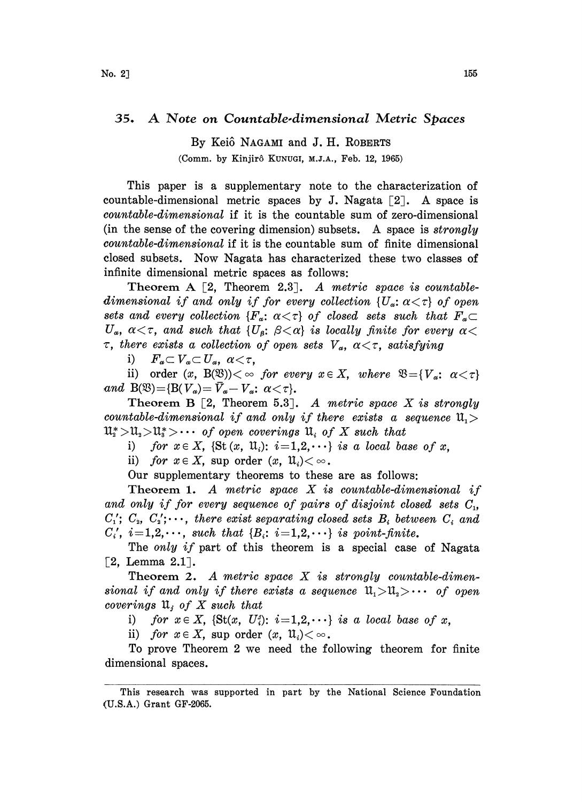## 35. A Note on Countable.dimensional Metric Spaces

By Keiô NAGAMI and J. H. ROBERTS (Comm. by Kinjirô KUNUGI, M.J.A., Feb. 12, 1965)

This paper is a supplementary note to the characterization of countable-dimensional metric spaces by J. Nagata  $[2]$ . A space is countable-dimensional if it is the countable sum of zero-dimensional (in the sense of the covering dimension) subsets. A space is  $strongly$ countable-dimensional if it is the countable sum of finite dimensional closed subsets. Now Nagata has characterized these two classes of infinite dimensional metric spaces as follows:

Theorem A  $[2,$  Theorem 2.3. A metric space is countabledimensional if and only if for every collection  $\{U_a: \alpha < \tau\}$  of open sets and every collection  ${F_\alpha: \alpha<\tau}$  of closed sets such that  $F_\alpha\subset$  $U_{\alpha}$ ,  $\alpha < \tau$ , and such that  $\{U_{\beta} : \ \beta < \alpha\}$  is locally finite for every  $\alpha <$  $\sigma_{\alpha}$ ,  $\alpha < \tau$ , and such that  $\{U_{\beta} : \beta < \alpha\}$  is locally finite for even<br>  $\tau$ , there exists a collection of open sets  $V_{\alpha}$ ,  $\alpha < \tau$ , satisfying<br>
i)  $F_{\alpha} \subset V_{\alpha} \subset U_{\alpha}$ ,  $\alpha < \tau$ ,<br>
ii) and  $(\alpha - P(\mathfrak{N})) < \tau$ , for e

ii) order  $(x, B(\mathfrak{B}))<\infty$  for every  $x \in X$ , where  $\mathfrak{B}=\{V_a: \alpha < \tau\}$ and  $B(\mathfrak{B}) = \{B(V_{\alpha}) = \overline{V}_{\alpha} - V_{\alpha}: \alpha < \tau\}.$ 

Theorem B  $\lceil 2$ , Theorem 5.3. A metric space X is strongly countable-dimensional if and only if there exists a sequence  $\mathfrak{u}_{1}$  $11_{2}^{*}>\mathfrak{U}_{2}>\mathfrak{U}_{3}>\cdots$  of open coverings  $11_{i}$  of X such that

i) for  $x \in X$ , {St  $(x, u_i)$ :  $i=1,2,\cdots$ } is a local base of x,

ii) for  $x \in X$ , sup order  $(x, u_i) < \infty$ .

Our supplementary theorems to these are as follows:

Theorem 1. A metric space  $X$  is countable-dimensional if and only if for every sequence of pairs of disjoint closed sets  $C_1$ ,  $C'_1$ ;  $C_2$ ,  $C'_2$ ;..., there exist separating closed sets  $B_i$  between  $C_i$  and  $C_i'$ ,  $i=1,2,\cdots$ , such that  $\{B_i: i=1,2,\cdots\}$  is point-finite.

The *only if* part of this theorem is a special case of Nagata  $[2,$  Lemma  $2.1$ ].

Theorem 2. A metric space  $X$  is strongly countable-dimensional if and only if there exists a sequence  $\mathfrak{u}_{1}>\mathfrak{u}_{2}>\cdots$  of open coverings  $\mathfrak{u}_i$  of X such that

i) for  $x \in X$ , {St(x, U<sub>i</sub>'):  $i=1,2,\cdots$ } is a local base of x,

ii) for  $x \in X$ , sup order  $(x, \mathfrak{u}_i) < \infty$ .

To prove Theorem 2 we need the following theorem for finite dimensional spaces.

This research was supported in part by the National Science Foundation (U.S.A.) Grant GF-2065.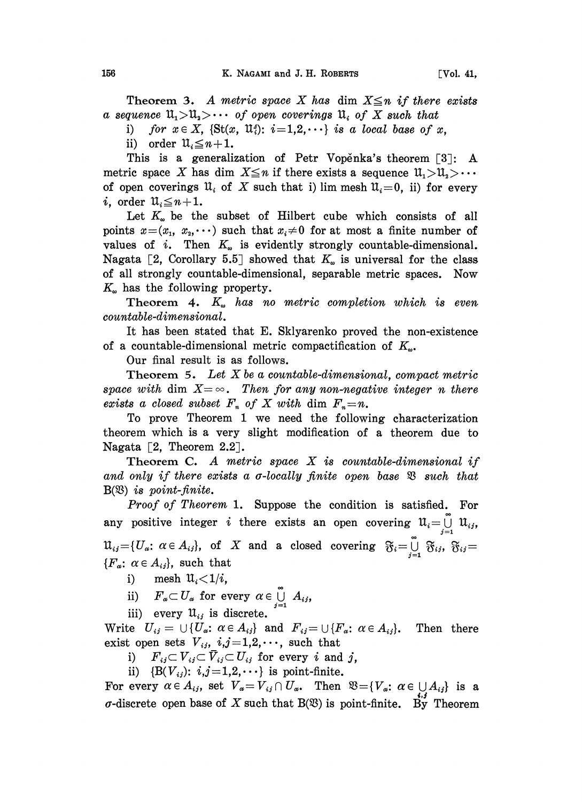Theorem 3. A metric space X has dim  $X \leq n$  if there exists a sequence  $\mathfrak{u}_1>\mathfrak{u}_2>\cdots$  of open coverings  $\mathfrak{u}_i$  of X such that

i) for  $x \in X$ , {St(x, U<sub>i</sub>'):  $i=1,2,\cdots$ } is a local base of x,

ii) order  $\mathfrak{u}_i \leq n+1$ .

This is a generalization of Petr Vopenka's theorem  $\lceil 3 \rceil$ : A metric space X has dim  $X \leq n$  if there exists a sequence  $\mathfrak{U}_1 > \mathfrak{U}_2 > \cdots$ of open coverings  $\mathfrak{U}_i$  of X such that i) lim mesh  $\mathfrak{U}_i = 0$ , ii) for every i, order  $\mathfrak{u}_{i} \leq n+1$ .

Let  $K_{\omega}$  be the subset of Hilbert cube which consists of all points  $x=(x_1, x_2, \dots)$  such that  $x_i\neq 0$  for at most a finite number of values of i. Then  $K_{\omega}$  is evidently strongly countable-dimensional. Nagata [2, Corollary 5.5] showed that  $K_{\omega}$  is universal for the class of all strongly countable-dimensional, separable metric spaces. Now  $K_{\omega}$  has the following property.

Theorem 4.  $K_{\omega}$  has no metric completion which is even countable-dimensional.

It has been stated that E. Sklyarenko proved the non-existence of a countable-dimensional metric compactification of  $K_{\omega}$ .

Our final result is as follows.

Theorem 5. Let  $X$  be a countable-dimensional, compact metric space with dim  $X = \infty$ . Then for any non-negative integer n there exists a closed subset  $F_n$  of X with dim  $F_n = n$ .

To prove Theorem <sup>1</sup> we need the following characterization theorem which is a very slight modification of a theorem due to Nagata  $[2,$  Theorem 2.2.

Theorem C. A metric space  $X$  is countable-dimensional if and only if there exists a  $\sigma$ -locally finite open base  $\mathfrak B$  such that  $B(\mathfrak{B})$  is point-finite.

Proof of Theorem 1. Suppose the condition is satisfied. For any positive integer  $i$  there exists an open covering  $\mathfrak{U}_i = \bigcup\limits_{j=1}^r$  $\mathfrak{U}_{ij} {=} \{U_{\alpha} ; \ \alpha \in A_{ij}\}, \ \text{ of } \ \ X \ \text{ and } \ \text{ a closed covering } \ \mathfrak{F}_i {=} \overset{\circ}{\cup}$  ${F_\alpha:\ \alpha\in A_{ij}}$ , such that  $\bigcup_{j=1}^{j=1} \mathfrak{F}_{ij}, \; \mathfrak{F}_{ij} =$ 

i) mesh  $\mathfrak{u}_i < 1/i$ ,

ii) Hesn  $u_i \leq 1/v$ ,<br>ii)  $F_{\alpha} \subset U_{\alpha}$  for every  $\alpha \in \bigcup_{i=1}^{\infty} A_{i,j}$ ,

iii) every  $\mathfrak{U}_{ij}$  is discrete.

Write  $U_{ij} = \bigcup \{U_{\alpha}: \alpha \in A_{ij}\}\$ and  $F_{ij} = \bigcup \{F_{\alpha}: \alpha \in A_{ij}\}\$ . Then there exist open sets  $V_{ij}$ ,  $i,j=1,2,\cdots$ , such that

i)  $F_{ij} \subset V_{ij} \subset \overline{V}_{ij} \subset U_{ij}$  for every i and j,

ii)  ${B(V_{ij})$ :  $i,j=1,2,\cdots}$  is point-finite.

For every  $\alpha \in A_{ij}$ , set  $V_{\alpha} = V_{ij} \cap U_{\alpha}$ . Then  $\mathfrak{B} = \{V_{\alpha}: \alpha \in \bigcup A_{ij}\}$  is a  $\sigma$ -discrete open base of X such that B(\Right\) is point-finite. By Theorem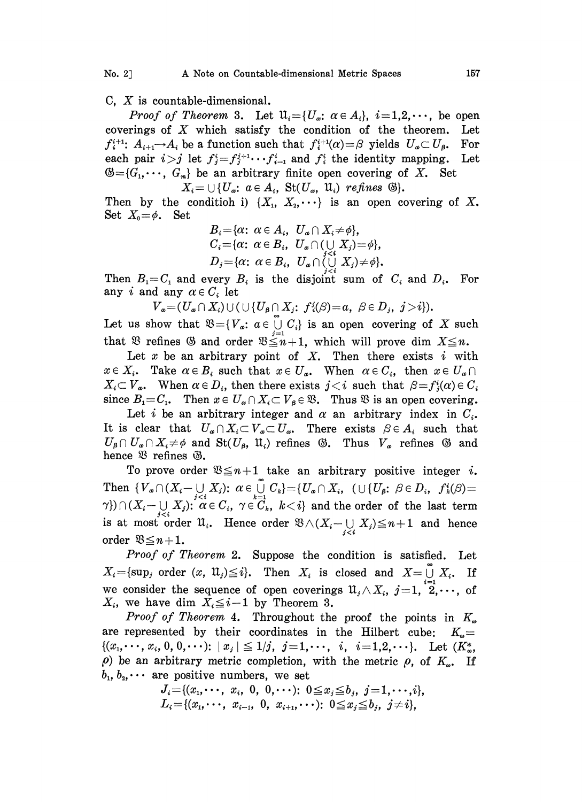C,  $X$  is countable-dimensional.

*Proof of Theorem* 3. Let  $\mathfrak{U}_i = \{U_\alpha : \alpha \in A_i\}$ ,  $i = 1, 2, \dots$ , be open coverings of  $X$  which satisfy the condition of the theorem. Let  $f_i^{i+1}$ :  $A_{i+1} \rightarrow A_i$  be a function such that  $f_i^{i+1}(\alpha) = \beta$  yields  $U_{\alpha} \subset U_{\beta}$ . For each pair  $i > j$  let  $f_i^i = f_i^{i+1} \cdots f_{i-1}^i$  and  $f_i^i$  the identity mapping. Let each pair  $i>j$  let  $f_j^i = f_j^{i+1} \cdots f_{i-1}^i$  and  $f_i^i$  the identity mapping.  $\mathfrak{G} = \{G_1, \dots, G_m\}$  be an arbitrary finite open covering of X. Set  $X_i = \bigcup \{ U_{\alpha}: \ \alpha \in A_i, \ \operatorname{St}(U_{\alpha}, \ \mathfrak{U}_i) \ \text{refines} \ \ \mathfrak{G} \}.$ 

Then by the condition i)  $\{X_1, X_2, \dots\}$  is an open covering of X. Set  $X_0 = \phi$ . Set

$$
B_i = \{ \alpha \colon \alpha \in A_i, U_\alpha \cap X_i \neq \phi \},
$$
  
\n
$$
C_i = \{ \alpha \colon \alpha \in B_i, U_\alpha \cap (\bigcup_{j \leq i} X_j) = \phi \},
$$
  
\n
$$
D_j = \{ \alpha \colon \alpha \in B_i, U_\alpha \cap (\bigcup_{j \in i} X_j) \neq \phi \}.
$$

Then  $B_i = C_i$  and every  $B_i$  is the disjoint sum of  $C_i$  and  $D_i$ . For any i and any  $\alpha \in C_i$  let

$$
V_a = (U_a \cap X_i) \cup (\cup \{U_\beta \cap X_j; f_i(\beta) = a, \ \beta \in D_j, \ j > i\}).
$$

Let us show that  $\mathfrak{B} = \{V_a: a \in \bigcup_{j=1}^{\infty} C_i\}$  is an open covering of X such that  $\mathfrak{B}$  refines  $\mathfrak{B}$  and order  $\mathfrak{B} \leq n+1$ , which will prove dim  $X \leq n$ .

Let x be an arbitrary point of X. Then there exists  $i$  with  $x \in X_i$ . Take  $\alpha \in B_i$  such that  $x \in U_\alpha$ . When  $\alpha \in C_i$ , then  $x \in U_\alpha \cap$  $X_i \subset V_a$ . When  $\alpha \in D_i$ , then there exists  $j < i$  such that  $\beta = f_i^i(\alpha) \in C_i$ since  $B_1 = C_1$ . Then  $x \in U_\alpha \cap X_i \subset V_\beta \in \mathfrak{B}$ . Thus  $\mathfrak{B}$  is an open covering.

Let i be an arbitrary integer and  $\alpha$  an arbitrary index in  $C_i$ . Let *i* be an arbitrary integer and  $\alpha$  an arbitrary index in  $C_i$ .<br>It is clear that  $U_{\alpha} \cap X_i \subset V_{\alpha} \subset U_{\alpha}$ . There exists  $\beta \in A_i$  such that  $U_{\beta} \cap U_{\alpha} \cap X_i \neq \phi$  and  $\text{St}(U_{\beta}, \mathfrak{U}_i)$  refines  $\mathfrak{G}$ . Thus  $V$  $U_{\beta} \cap U_{\alpha} \cap X_i \neq \emptyset$  and  $\text{St}(U_{\beta}, \mathfrak{U}_i)$  refines  $\mathfrak{B}$ . Thus  $V_{\alpha}$  refines  $\mathfrak{B}$  and hence  $\mathfrak{B}$  refines  $\mathfrak{B}$ .

To prove order  $\mathfrak{B} \leq n+1$  take an arbitrary positive integer *i*. Then  $\{V_{\alpha}\cap (X_i-\bigcup\limits_{i\in i}X_j);\ \alpha\in\bigcup\limits_{i=1}^{\infty}C_k\}=\{U_{\alpha}\cap X_i, \ (\cup\{U_{\beta};\ \beta\in D_i,\ f_k(\beta)=1\})$ Then  $\{V_{\alpha} \cap (\overline{X_i} \cap \bigcup_{j \leq i} X_j)\colon \alpha \in \bigcup_{k=1}^{i} \cup \bigcup_{k \neq i} \alpha \in C_i, \gamma \in C_k, k < i\}$  and the order of the last term is at most order  $\mathfrak{A}_i$ . Hence order  $\mathfrak{B} \wedge (X_i - \bigcup_{j and hence$ order  $\mathfrak{B} \leq n+1$ .

Proof of Theorem 2. Suppose the condition is satisfied. Let  $X_i = \{ \sup_j \text{ order } (x, \mathfrak{U}_j) \leq i \}.$  Then  $X_i$  is closed and  $X = \bigcup_{i=1}^{\infty} X_i$ . If we consider the sequence of open coverings  $\mathfrak{U}_i \wedge X_i$ ,  $j=1, 2,\dots,$  of  $X_i$ , we have dim  $X_i \leq i-1$  by Theorem 3.

*Proof of Theorem* 4. Throughout the proof the points in  $K_{\infty}$  represented by their coordinates in the Hilbert cube:  $K_{\infty}$ are represented by their coordinates in the Hilbert cube:  $\{(x_1,\dots,x_i, 0, 0,\dots): |x_i| \leq 1/j, j=1,\dots, i, i=1,2,\dots\}.$  Let  $(K^*_{\omega},$  $\rho$ ) be an arbitrary metric completion, with the metric  $\rho$ , of  $K_{\omega}$ . If  $b_1, b_2, \cdots$  are positive numbers, we set

$$
J_i = \{(x_1, \dots, x_i, 0, 0, \dots): 0 \leq x_j \leq b_j, j = 1, \dots, i\},
$$
  

$$
L_i = \{(x_1, \dots, x_{i-1}, 0, x_{i+1}, \dots): 0 \leq x_j \leq b_j, j \neq i\},
$$